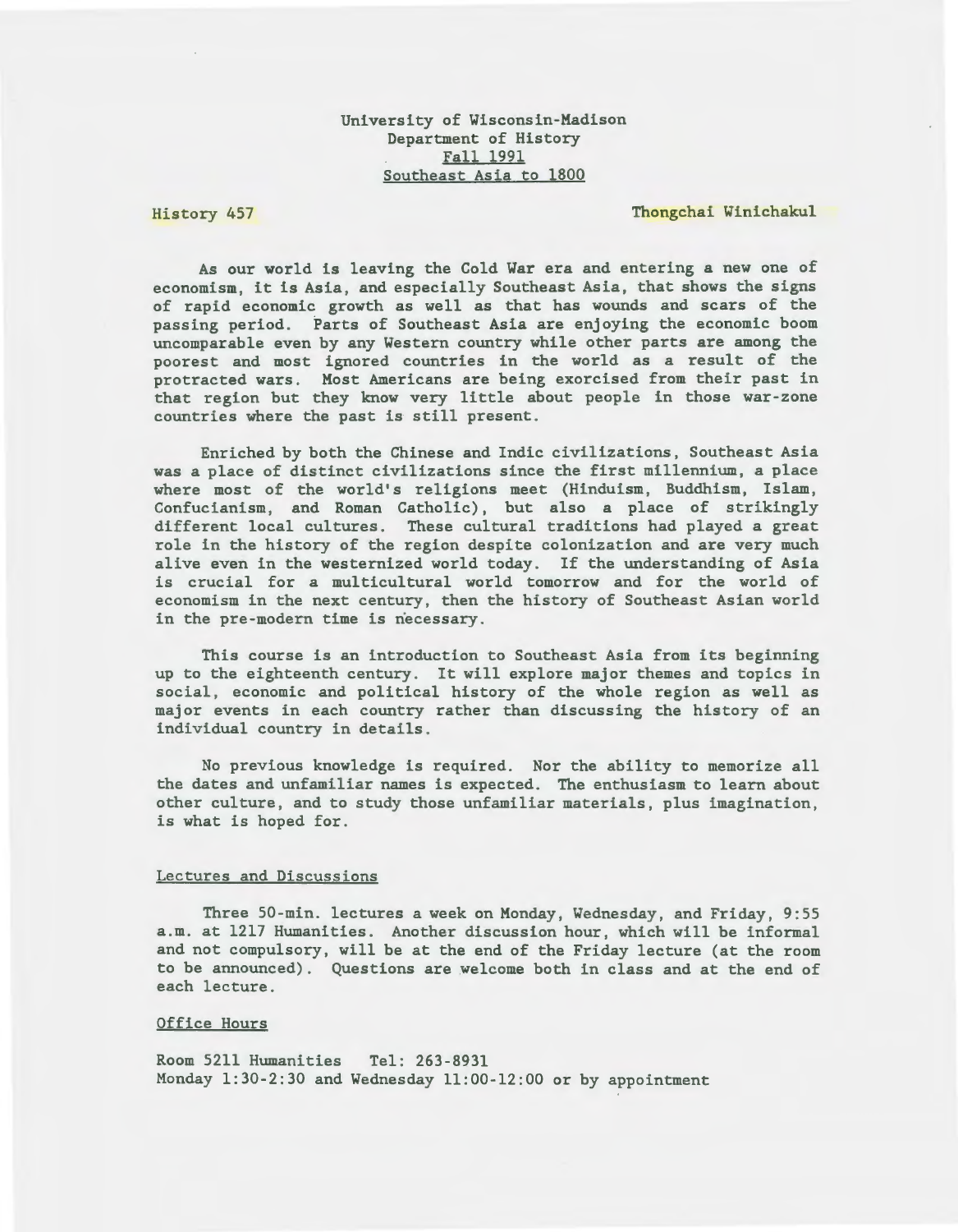# University of Wisconsin-Madison Department of History Fall 1991 Southeast Asia to 1800

#### History 457

# Thongchai Winichakul

As our world is leaving the Cold War era and entering a new one of economism, it is Asia, and especially Southeast Asia, that shows the signs of rapid economic growth as well as that has wounds and scars of the passing period. Parts of Southeast Asia are enjoying the economic boom uncomparable even by any Western country while other parts are among the poorest and most ignored countries in the world as a result of the protracted wars. Most Americans are being exorcised from their past in that region but they know very little about people in those war-zone countries where the past is still present.

Enriched by both the Chinese and Indic civilizations, Southeast Asia was a place of distinct civilizations since the first millennium, a place where most of the world's religions meet (Hinduism, Buddhism, Islam, Confucianism, and Roman Catholic), but also a place of strikingly different local cultures. These cultural traditions had played a great role in the history of the region despite colonization and are very much alive even in the westernized world today. If the understanding of Asia is crucial for a multicultural world tomorrow and for the world of economism in the next century, then the history of Southeast Asian world in the pre-modern time is necessary .

This course is an introduction to Southeast Asia from its beginning up to the eighteenth century. It will explore major themes and topics in social, economic and political history of the whole region as well as major events in each country rather than discussing the history of an individual country in details.

No previous knowledge is required. Nor the ability to memorize all the dates and unfamiliar names is expected. The enthusiasm to learn about other culture, and to study those unfamiliar materials, plus imagination, is what is hoped for.

### Lectures and Discussions

Three 50-min. lectures a week on Monday, Wednesday, and Friday, 9:55 a.m. at 1217 Humanities. Another discussion hour, which will be informal and not compulsory, will be at the end of the Friday lecture (at the room to be announced). Questions are welcome both in class and at the end of each lecture.

### Office Hours

Room 5211 Humanities Tel: 263-8931 Monday 1:30-2:30 and Wednesday 11:00-12:00 or by appointment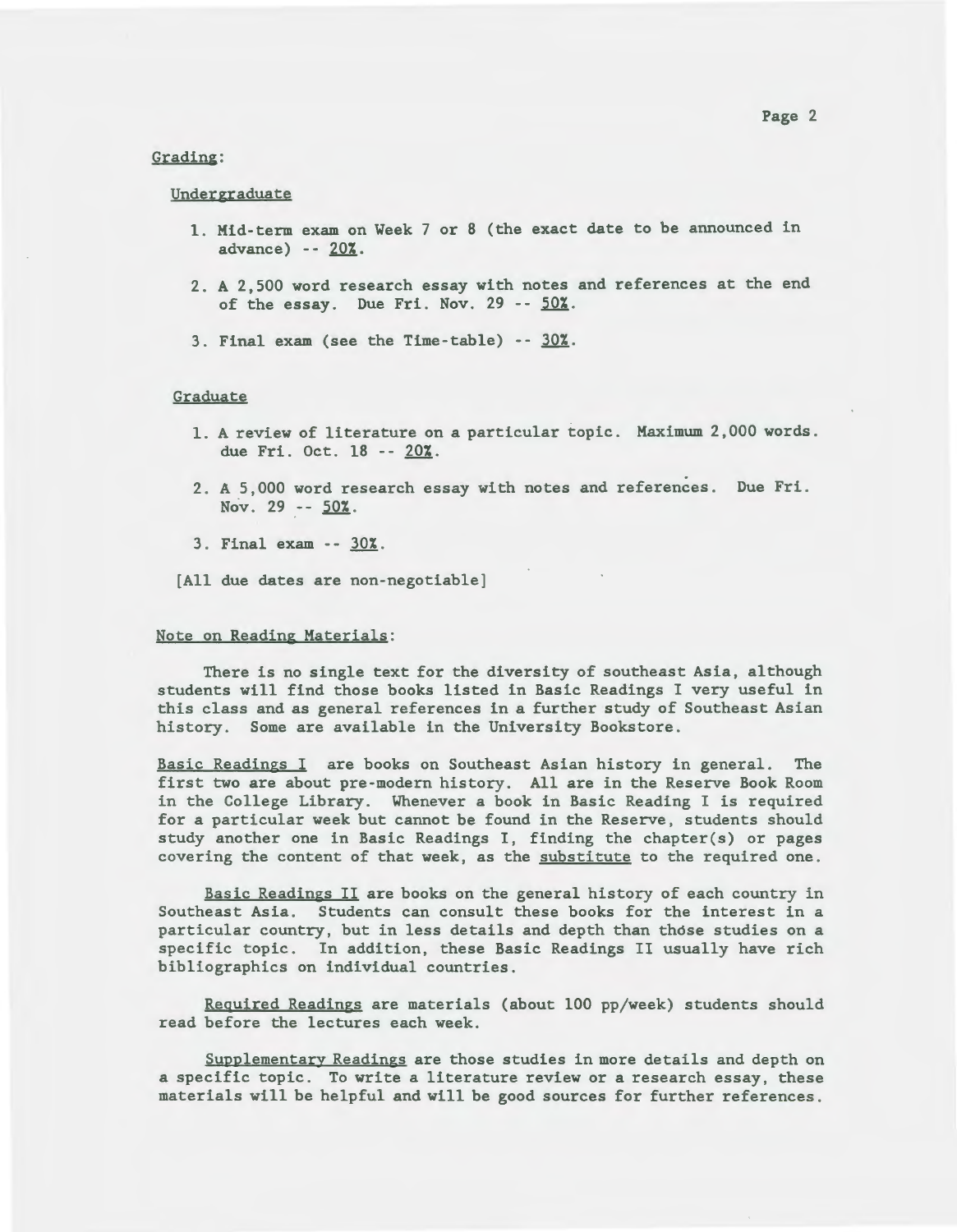# Grading :

# Undergraduate

- 1. Mid-term exam on Week 7 or 8 (the exact date to be announced in advance) -- 20%.
- 2 . A 2,500 word research essay with notes and references at the end of the essay. Due Fri. Nov.  $29 - 50\%$ .
- 3. Final exam (see the Time-table)  $-30\%$ .

## **Graduate**

- 1. A review of literature on a particular topic. Maximum 2,000 words. due Fri. Oct. 18 -- 20%.
- 2. A 5 , 000 word research essay with notes and references . Due Fri . Nov. 29 --  $50\%$ .
- 3. Final exam -- 30%.
- [All due dates are non-negotiable]

#### Note on Reading Materials:

There is no single text for the diversity of southeast Asia, although students will find those books listed in Basic Readings I very useful in this class and as general references in a further study of Southeast Asian history. Some are available in the University Bookstore.

Basic Readings I are books on Southeast Asian history in general. The first two are about pre-modern history. All are in the Reserve Book Room in the College Library. Whenever a book in Basic Reading I is required for a particular week but cannot be found in the Reserve, students should study another one in Basic Readings I, finding the chapter(s) or pages covering the content of that week, as the substitute to the required one.

Basic Readings II are books on the general history of each country in Southeast Asia. Students can consult these books for the interest in a particular country, but in less details and depth than those studies on a specific topic. In addition, these Basic Readings II usually have rich bibliographies on individual countries.

Required Readings are materials (about 100 pp/week) students should read before the lectures each week.

Supplementary Readings are those studies in more details and depth on a specific topic. To write a literature review or a research essay, these materials will be helpful and will be good sources for further references .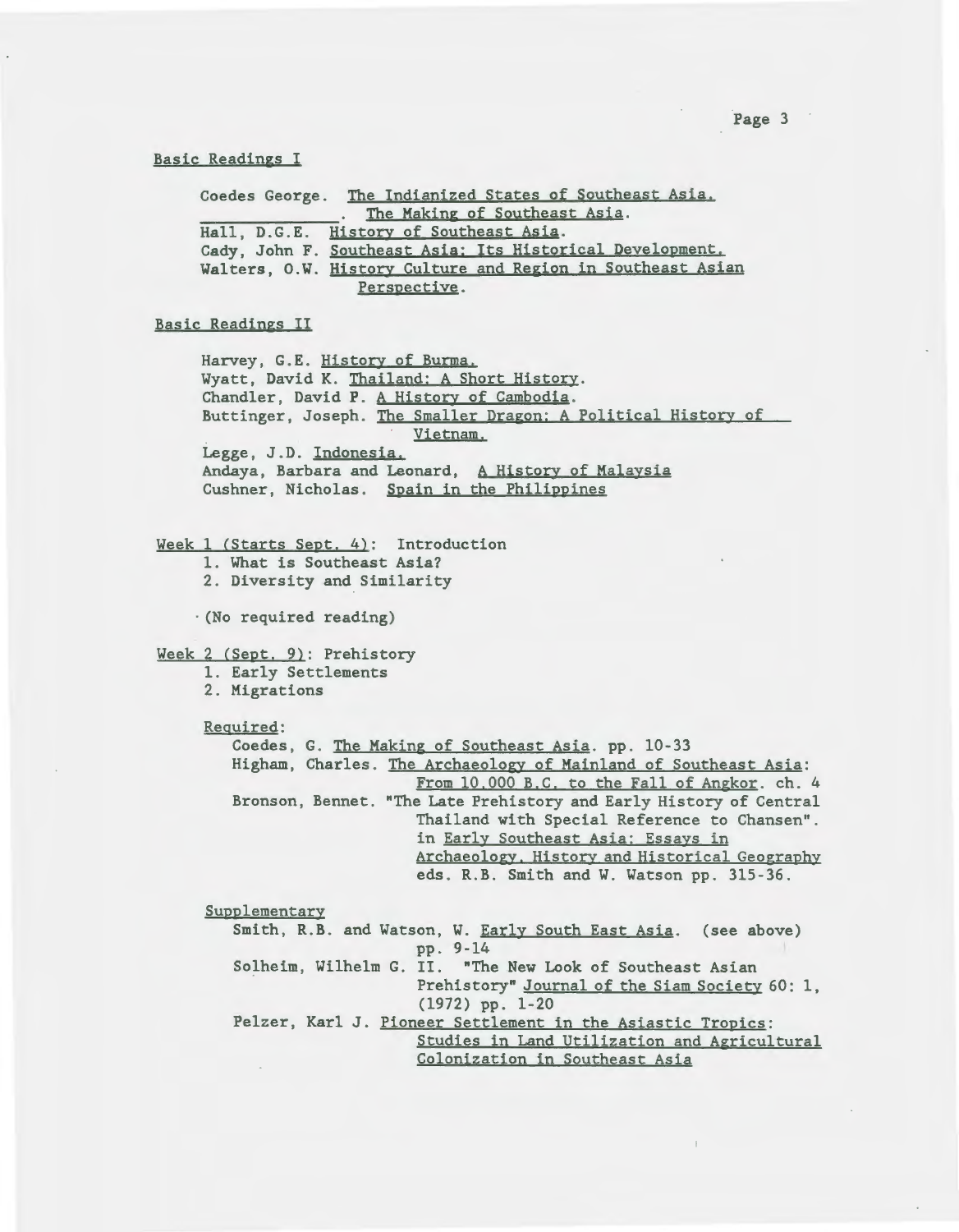### Basic Readings I

|                               | Coedes George. The Indianized States of Southeast Asia.     |
|-------------------------------|-------------------------------------------------------------|
| The Making of Southeast Asia. |                                                             |
|                               | Hall, D.G.E. History of Southeast Asia.                     |
|                               | Cady, John F. Southeast Asia: Its Historical Development.   |
|                               | Walters, O.W. History Culture and Region in Southeast Asian |
| Perspective.                  |                                                             |

#### Basic Readings II

Harvey, G.E. History of Burma. Wyatt, David K. Thailand: A Short History. Chandler, David P. A History of Cambodia. Buttinger, Joseph. The Smaller Dragon: A Political History of Vietnam. Legge, J.D. Indonesia. Andaya, Barbara and Leonard, A History of Malaysia Cushner, Nicholas. Spain in the Philippines

Week 1 (Starts Sept. 4): Introduction

1. What is Southeast Asia? 2. Diversity and Similarity

· (No required reading)

Week 2 (Sept. 9): Prehistory

1. Early Settlements

2. Migrations

Required:

Coedes, G. The Making of Southeast Asia. pp. 10-33 Higham, Charles. The Archaeology of Mainland of Southeast Asia: From 10,000 B.C. to the Fall of Angkor. ch. 4 Bronson, Bennet. "The Late Prehistory and Early History of Central Thailand with Special Reference to Chansen" . in Early Southeast Asia: Essays in Archaeology. History and Historical Geography eds. R.B. Smith and W. Watson pp. 315-36.

Supplementary

Smith, R.B. and Watson, W. Early South East Asia. (see above) pp. 9-14 Solheim, Wilhelm G. II. "The New Look of Southeast Asian Prehistory" Journal of the Siam Society 60: 1, (1972) pp. 1- 20 Pelzer, Karl J. Pioneer Settlement in the Asiastic Tropics: Studies in Land Utilization and Agricultural Colonization in Southeast Asia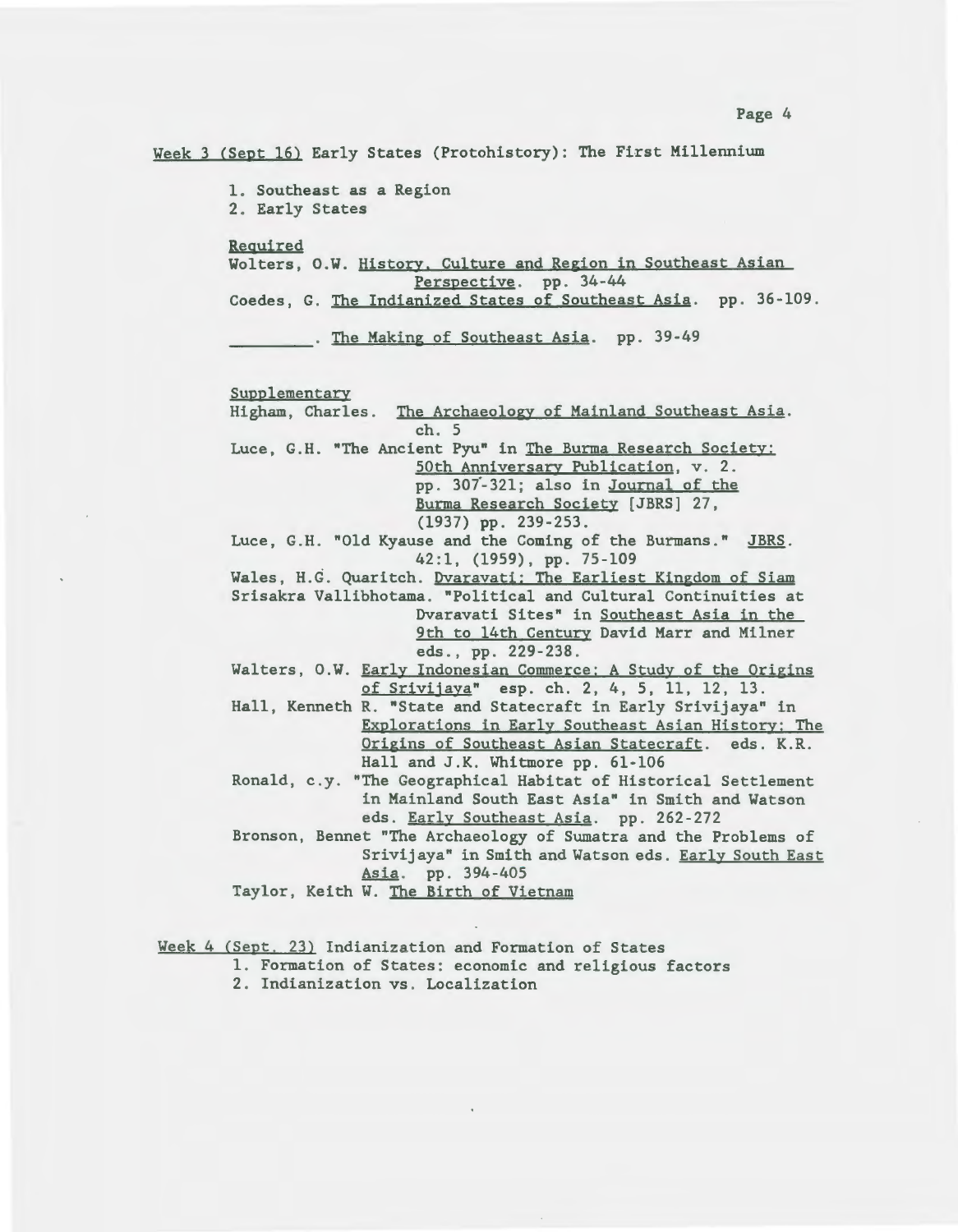Week 3 (Sept 16) Early States (Protohistory): The First Millennium

1. Southeast as a Region 2. Early States

Required

Wolters, O.W. History. Culture and Region in Southeast Asian Perspective. pp. 34-44 Coedes, G. The Indianized States of Southeast Asia. pp. 36-109.

. The Making of Southeast Asia. pp. 39-49

Supplementary Higham, Charles. The Archaeology of Mainland Southeast Asia. ch . 5 Luce, G.H. "The Ancient Pyu" in The Burma Research Society: 50th Anniversary Publication, v. 2. pp. 307-321; also in Journal of the Burma Research Society [JBRS] 27, (1937) pp . 239 - 253 . Luce, G.H. "Old Kyause and the Coming of the Burmans." JBRS. 42:1, (1959) , pp. 75-109 Wales, H.G. Quaritch. Dvaravati: The Earliest Kingdom of Siam Srisakra Vallibhotama. "Political and Cultural Continuities at Dvaravati Sites" in Southeast Asia in the 9th to 14th Century David Marr and Milner eds., pp. 229-238. Walters, O.W. Early Indonesian Commerce: A Study of the Origins of Srivijaya" esp. ch. 2, 4, 5, 11, 12, 13. Hall, Kenneth R. "State and Statecraft in Early Srivijaya" in Explorations in Early Southeast Asian History: The Origins of Southeast Asian Statecraft. eds. K.R. Hall and J.K. Whitmore pp. 61-106 Ronald, c.y. "The Geographical Habitat of Historical Settlement in Mainland South East Asia" in Smith and Watson eds. Early Southeast Asia. pp. 262-272 Bronson, Bennet "The Archaeology of Sumatra and the Problems of Srivijaya" in Smith and Watson eds. Early South East Asia. pp. 394-405 Taylor, Keith W. The Birth of Vietnam

Week 4 (Sept. 23) Indianization and Formation of States

1 . Formation of States: economic and religious factors

2. Indianization vs. Localization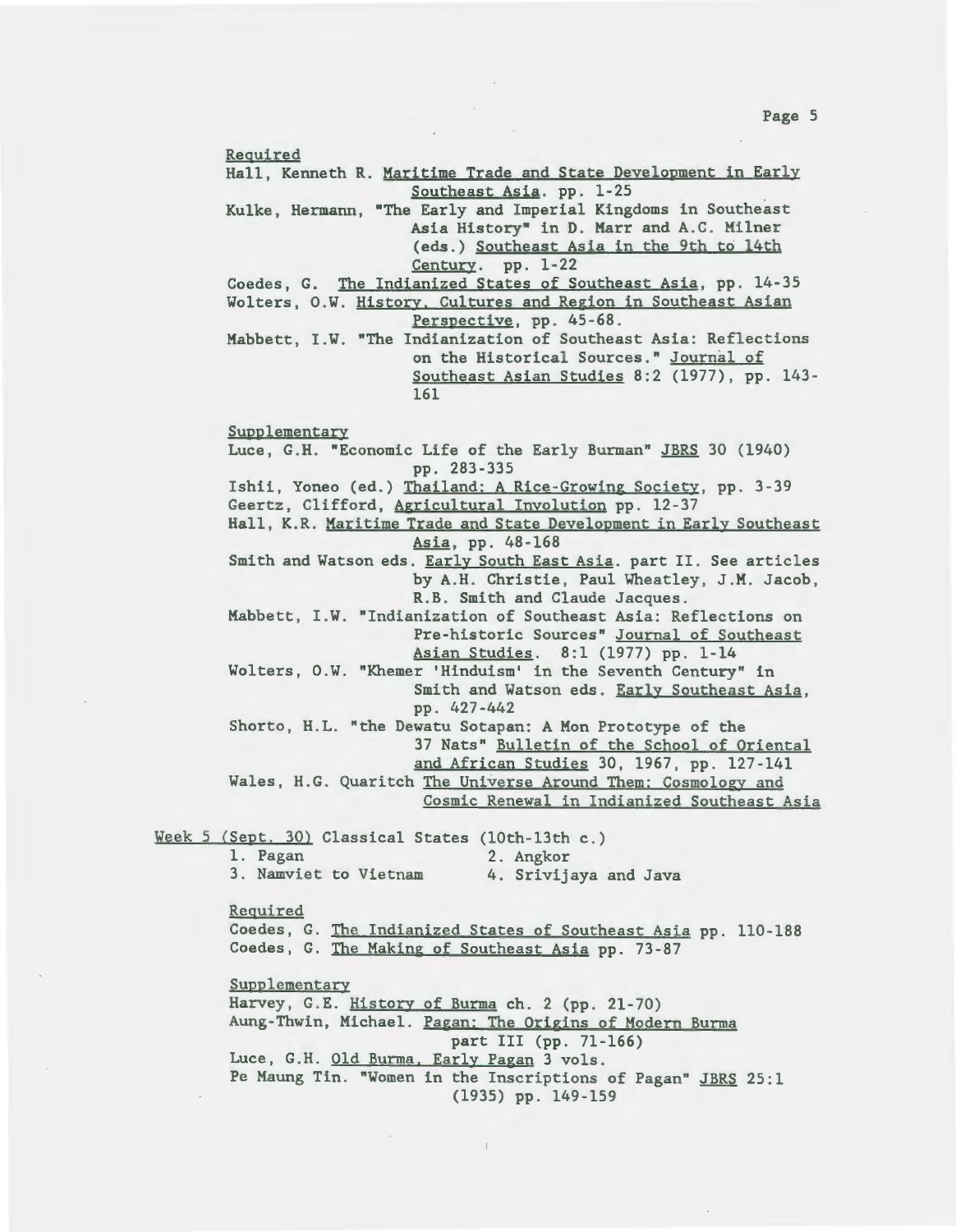Required Hall, Kenneth R. Maritime Trade and State Development in Early Southeast Asia. pp. 1-25 Kulke, Hermann, "The Early and Imperial Kingdoms in Southeast Asia History" in D. Marr and A.C. Milner (eds.) Southeast Asia in the 9th to 14th Century. pp. 1-22 Coedes, G. The Indianized States of Southeast Asia, pp. 14-35 Wolters, O.W. History. Cultures and Region in Southeast Asian Perspective, pp. 45-68. Mabbett, I.W. "The Indianization of Southeast Asia: Reflections on the Historical Sources." Journal of Southeast Asian Studies 8:2 (1977), pp. 143-161 Supplementary Luce, G.H. "Economic Life of the Early Burman" JBRS 30 (1940) pp . 283 - 335 Ishii, Yoneo (ed.) Thailand: A Rice-Growing Society, pp. 3-39 Geertz, Clifford, Agricultural Involution pp. 12-37 Hall, K.R. Maritime Trade and State Development in Early Southeast Asia, pp. 48-168 Smith and Watson eds. Early South East Asia. part II. See articles by A.H. Christie, Paul Wheatley, J.M. Jacob, R.B. Smith and Claude Jacques. Mabbett, I.W. "Indianization of Southeast Asia: Reflections on Pre-historic Sources" Journal of Southeast Asian Studies. 8:1 (1977) pp. 1-14 Wolters , O.W. "Khemer 'Hinduism' in the Seventh Century" in Smith and Watson eds. Early Southeast Asia, pp . 427 -442 Shorto, H.L. "the Dewatu Sotapan: A Mon Prototype of the 37 Nats" Bulletin of the School of Oriental and African Studies 30, 1967, pp. 127-141 Wales, H.G. Quaritch The Universe Around Them: Cosmology and Cosmic Renewal in Indianized Southeast Asia Week 5 (Sept. 30) Classical States (10th-13th c.) 1. Pagan 2. Angkor 3 . Namviet to Vietnam 4. Srivijaya and Java Required Coedes, G. The Indianized States of Southeast Asia pp. 110-188 Coedes, G. The Making of Southeast Asia pp. 73-87 Supplementary Harvey, G.E. History of Burma ch. 2 (pp. 21-70) Aung-Thwin, Michael. Pagan: The Origins of Modern Burma part III (pp. 71-166) Luce, G.H. Old Burma, Early Pagan 3 vols. Pe Maung Tin. "Women in the Inscriptions of Pagan" JBRS 25:1

(1935) pp. 149-159

Page 5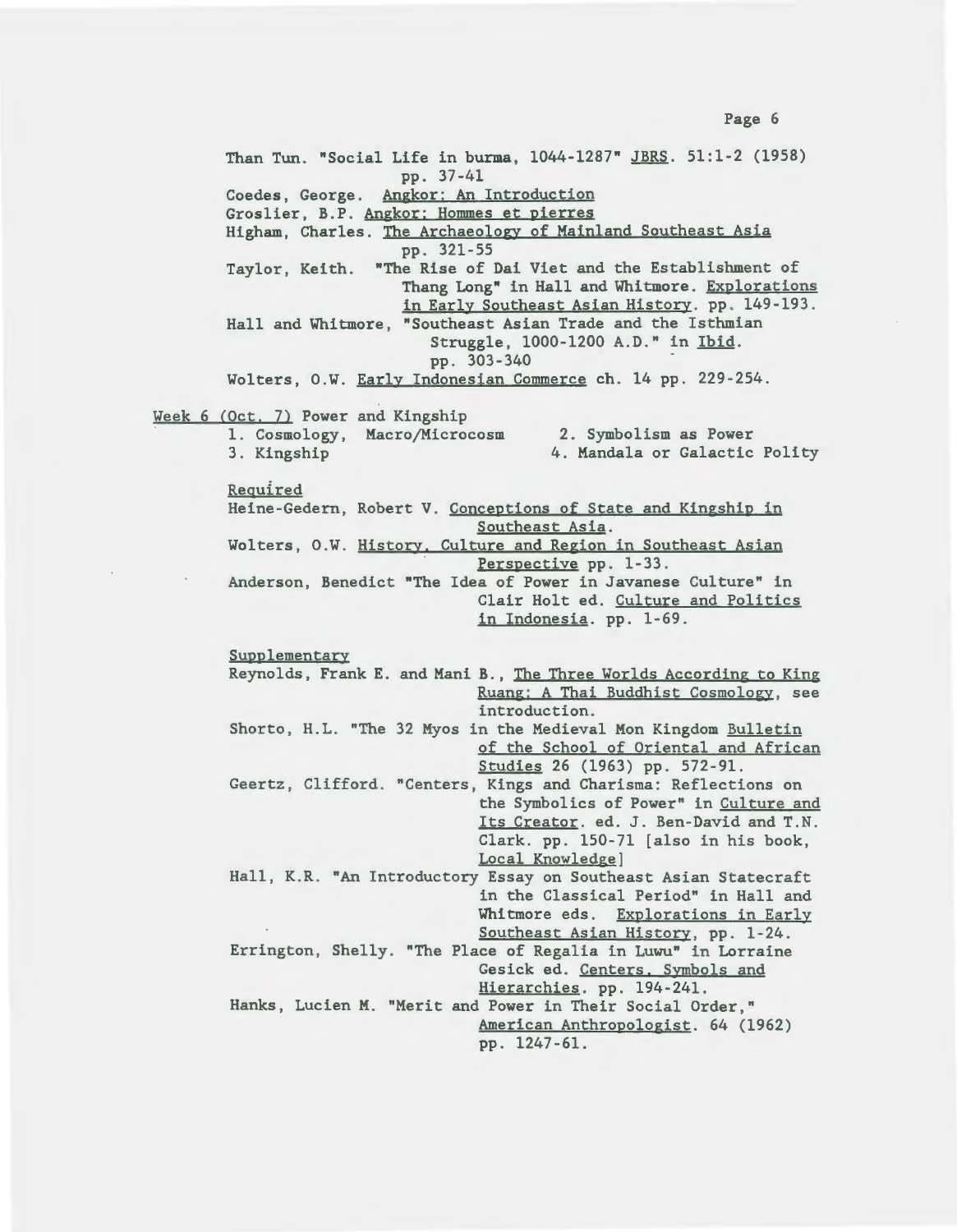Than Tun. "Social Life in burma, 1044-1287" JBRS. 51:1-2 (1958) pp. 37-41 Coedes, George. Angkor: An Introduction Groslier, B. P. Angkor: Hommes et pierres Higham, Charles. The Archaeology of Mainland Southeast Asia pp. 321-55 Taylor, Keith. "The Rise of Dai Viet and the Establishment of Thang Long" in Hall and Whitmore. Explorations in Early Southeast Asian History. pp. 149-193. Hall and Whitmore, "Southeast Asian Trade and the Isthmian Struggle, 1000-1200 A.D." in Ibid. pp . 303-340 - Wolters, O.W. Early Indonesian Commerce ch. 14 pp. 229-254. Week 6 (Oct. 7) Power and Kingship 1. Cosmology, Macro/Microcosm 3 . Kingship Required 2. Symbolism as Power 4. Mandala or Galactic Polity Heine -Gedern, Robert V. Conceptions of State and Kingship in Southeast Asia. Wolters, O.W. History. Culture and Region in Southeast Asian Perspective pp. 1-33 . Anderson, Benedict "The Idea of Power in Javanese Culture" in Clair Holt ed. Culture and Politics in Indonesia. pp. 1-69. Supplementary Reynolds, Frank E. and Mani B., The Three Worlds According to King Ruang: A Thai Buddhist Cosmology, see introduction. Shorto, H.L. "The 32 Myos in the Medieval Mon Kingdom Bulletin of the School of Oriental and African Studies 26 (1963) pp. 572-91 . Geertz, Clifford. "Centers, Kings and Charisma: Reflections on the Symbolics of Power" in Culture and Its Creator. ed. J. Ben-David and T.N. Clark. pp. 150-71 [also in his book, Local Knowledge] Hall, K.R. "An Introductory Essay on Southeast Asian Statecraft in the Classical Period" in Hall and Whitmore eds. Explorations in Early Southeast Asian History, pp. 1-24. Errington, Shelly. "The Place of Regalia in Luwu" in Lorraine Gesick ed. Centers. Symbols and Hierarchies. pp. 194-241. Hanks, Lucien M. "Merit and Power in Their Social Order," American Anthropologist. 64 (1962)

pp. 1247-61.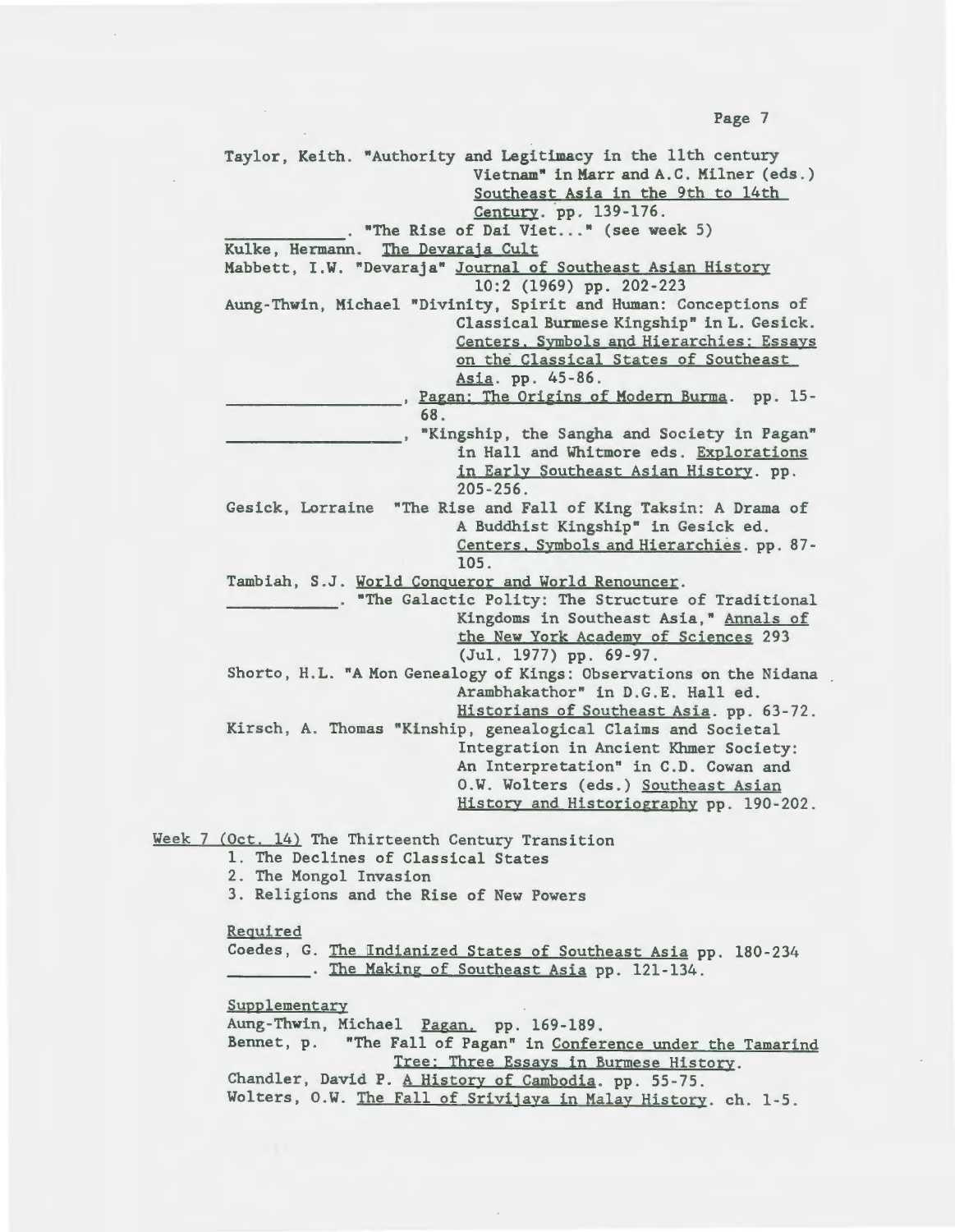Taylor, Keith. "Authority and Legitimacy in the llth century Vietnam" in Marr and A. C. Milner (eds . ) Southeast Asia in the 9th to 14th<br>Century. pp. 139-176. . "The Rise of Dai Viet..." (see week 5) Kulke, Hermann. The Devaraja Cult Mabbett, I.W. "Devaraja" Journal of Southeast Asian History 10:2 (1969) pp. 202-223 Aung-Thwin, Michael "Divinity, Spirit and Human: Conceptions of Classical Burmese Kingship" in L. Gesick. Centers. Symbols and Hierarchies: Essays on the Classical States of Southeast Asia. pp. 45-86. pagan: The Origins of Modern Burma. pp. 15-<br>68. ., "Kingship, the Sangha and Society in Pagan" in Hall and Whitmore eds. Explorations in Early Southeast Asian History. pp.  $205 - 256$ . Gesick, Lorraine "The Rise and Fall of King Taksin: A Drama of A Buddhist Kingship" in Gesick ed. Centers. Symbols and Hierarchies. pp. 87 - 105 . Tambiah, S.J. World Conqueror and World Renouncer. . "The Galactic Polity: The Structure of Traditional Kingdoms in Southeast Asia," Annals of the New York Academy of Sciences 293 (Jul. 1977) pp. 69-97. Shorto, H.L. "A Mon Genealogy of Kings: Observations on the Nidana Arambhakathor" in D.G.E. Hall ed. Historians of Southeast Asia. pp. 63-72. Kirsch, A. Thomas "Kinship, genealogical Claims and Societal Integration in Ancient Khmer Society: An Interpretation" in C. D. Cowan and O.W. Wolters (eds.) Southeast Asian History and Historiography pp. 190-202. Week 7 (Oct. 14) The Thirteenth Century Transition 1. The Declines of Classical States 2. The Mongol Invasion 3 . Religions and the Rise of New Powers Required Coedes, G. The Indianized States of Southeast Asia pp. 180-234 . The Making of Southeast Asia pp. 121-134. Supplementary Aung-Thwin, Michael Pagan. pp. 169-189. Bennet, p. "The Fall of Pagan" in Conference under the Tamarind Tree: Three Essays in Burmese History. Chandler, David P. A History of Cambodia. pp. 55-75. Wolters, O.W. The Fall of Srivijaya in Malay History. ch. 1-5.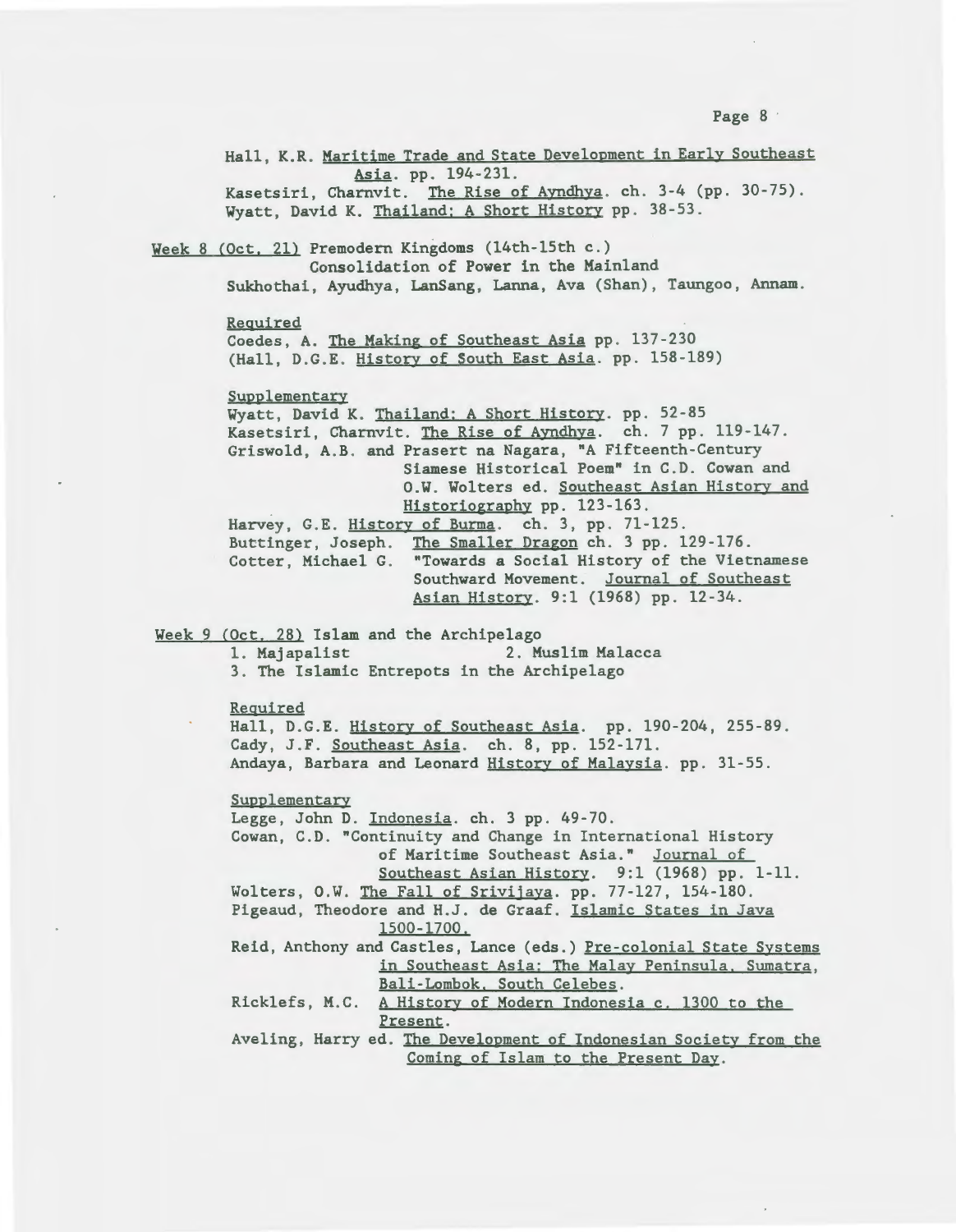Hall, K.R. Maritime Trade and State Development in Early Southeast Asia. pp. 194-231. Kasetsiri, Charnvit. The Rise of Ayndhya. ch. 3-4 (pp. 30-75). Wyatt, David K. Thailand: A Short History pp. 38-53. Week 8 (Oct. 21) Premodern Kingdoms (14th-15th c.) Consolidation of Power in the Mainland Sukhothai, Ayudhya, LanSang, Lanna, Ava (Shan), Taungoo , Annam. Required Coedes, A. The Making of Southeast Asia pp. 137-230 (Hall, D.G.E. History of South East Asia. pp. 158-189) Supplementary Wyatt, David K. Thailand: A Short History. pp. 52-85 Kasetsiri, Charnvit. The Rise of Ayndhya. ch. 7 pp. 119-147. Griswold, A.B. and Prasert na Nagara, "A Fifteenth-Century Siamese Historical Poem" in C. D. Cowan and O.W. Wolters ed. Southeast Asian History and Historiography pp. 123-163. Harvey, G.E. History of Burma. ch. 3, pp. 71-125. Buttinger, Joseph. The Smaller Dragon ch. 3 pp. 129-176. Cotter, Michael G. "Towards a Social History of the Vietnamese Southward Movement. Journal of Southeast Asian History. 9:1 (1968) pp. 12-34. Week 9 (Oct. 28) Islam and the Archipelago 1. Majapalist 2. Muslim Malacca 3. The Islamic Entrepots in the Archipelago Required Hall, D.G.E. History of Southeast Asia. pp. 190-204, 255-89. Cady, J.F. Southeast Asia. ch. 8, pp. 152-171. Andaya, Barbara and Leonard History of Malaysia. pp. 31-55. Supplementary Legge, John D. Indonesia. ch. 3 pp. 49-70. Cowan, C.D. "Continuity and Change in International History of Maritime Southeast Asia." Journal of Southeast Asian History. 9:1 (1968) pp. 1-11. Wolters, O.W. The Fall of Srivijaya. pp. 77-127, 154-180. Pigeaud, Theodore and H.J. de Graaf. Islamic States in Java 1500-1700. Reid, Anthony and Castles, Lance (eds.) Pre-colonial State Systems in Southeast Asia: The Malay Peninsula. Sumatra, Bali-Lombok. South Celebes. Ricklefs, M.C. A History of Modern Indonesia c. 1300 to the Present. Aveling, Harry ed. The Development of Indonesian Society from the Coming of Islam to the Present Day.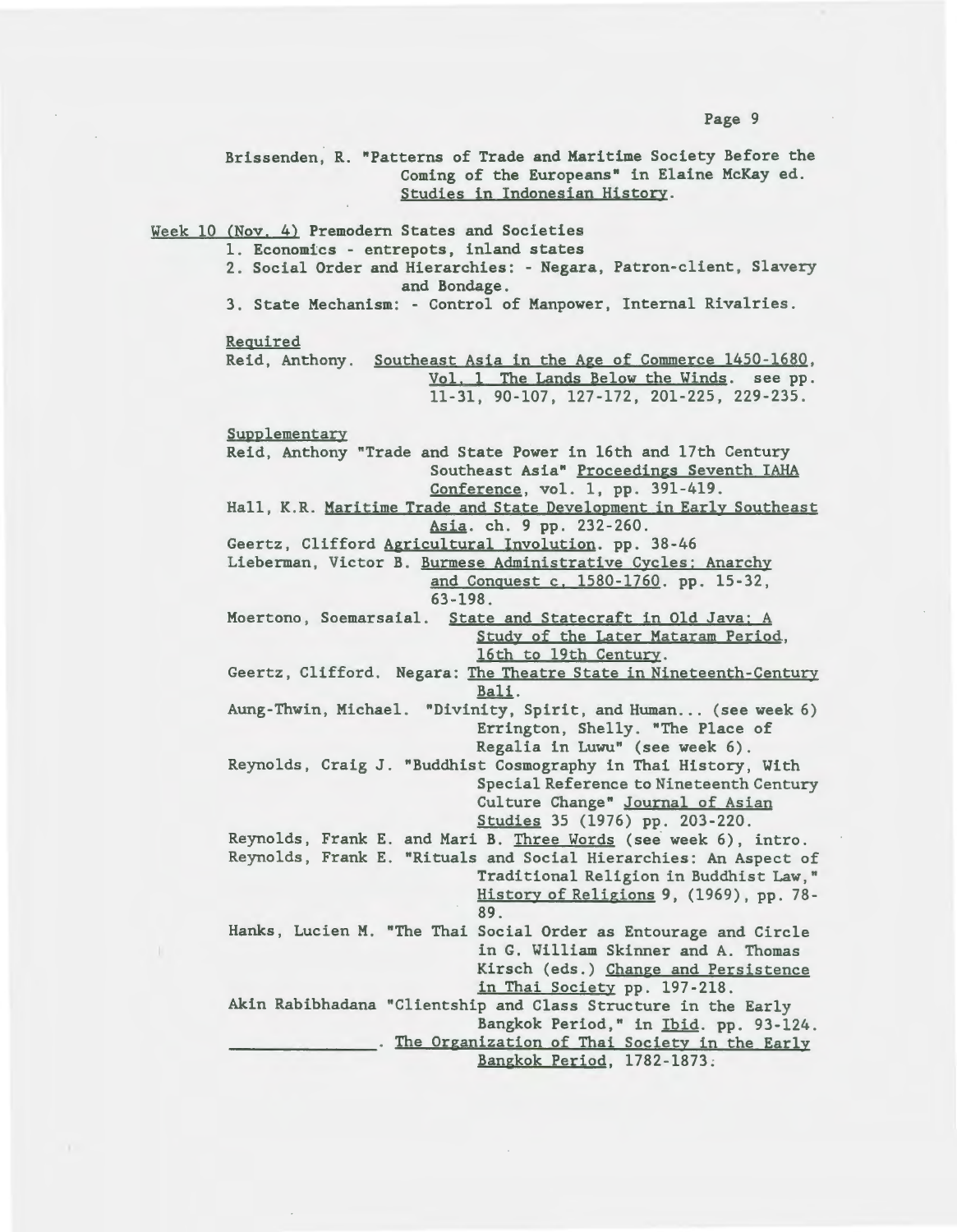Brissenden, R. "Patterns of Trade and Maritime Society Before the Coming of the Europeans" in Elaine McKay ed. Studies in Indonesian History . Week 10 (Nov. 4) Premodern States and Societies 1. Economics - entrepots, inland states 2. Social Order and Hierarchies: - Negara, Patron-client, Slavery and Bondage . 3. State Mechanism: - Control of Manpower, Internal Rivalries. Required Reid, Anthony. Southeast Asia in the Age of Commerce 1450-1680, **Supplementary** Vol. 1 The Lands Below the Winds. see pp. 11 - 31 , 90 -107, 127-172, 201 - 225, 229 - 235 . Reid, Anthony "Trade and State Power in 16th and 17th Century Southeast Asia" Proceedings Seventh IAHA  $Conference$ , vol. 1, pp. 391-419. Hall, K.R. Maritime Trade and State Development in Early Southeast Asia. ch. 9 pp. 232-260. Geertz, Clifford Agricultural Involution. pp. 38-46 Lieberman, Victor B. Burmese Administrative Cycles: Anarchy and Conquest c. 1580-1760. pp. 15-32, 63 -198 . Moertono, Soemarsaial. State and Statecraft in Old Java; A Study of the Later Mataram Period, 16th to 19th Century. Geertz, Clifford. Negara: The Theatre State in Nineteenth-Century Bali. Aung-Thwin, Michael. "Divinity, Spirit, and Human... (see week 6) Errington, Shelly. "The Place of Regalia in Luwu" (see week 6). Reynolds, Craig J. "Buddhist Cosmography in Thai History, With Special Reference to Nineteenth Century Culture Change" Journal of Asian Studies 35 (1976) pp. 203-220 . Reynolds, Frank E. and Mari B. Three Words (see week 6), intro . Reynolds , Frank E. "Rituals and Social Hierarchies: An Aspect of Traditional Religion in Buddhist Law," History of Religions 9, (1969), pp. 78-89 . Hanks, Lucien M. "The Thai Social Order as Entourage and Circle in G. William Skinner and A. Thomas Kirsch (eds.) Change and Persistence in Thai Society pp. 197-218. Akin Rabibhadana "Clientship and Class Structure in the Early Bangkok Period," in Ibid. pp. 93-124 . . The Organization of Thai Society in the Early Bangkok Period, 1782-1873 ;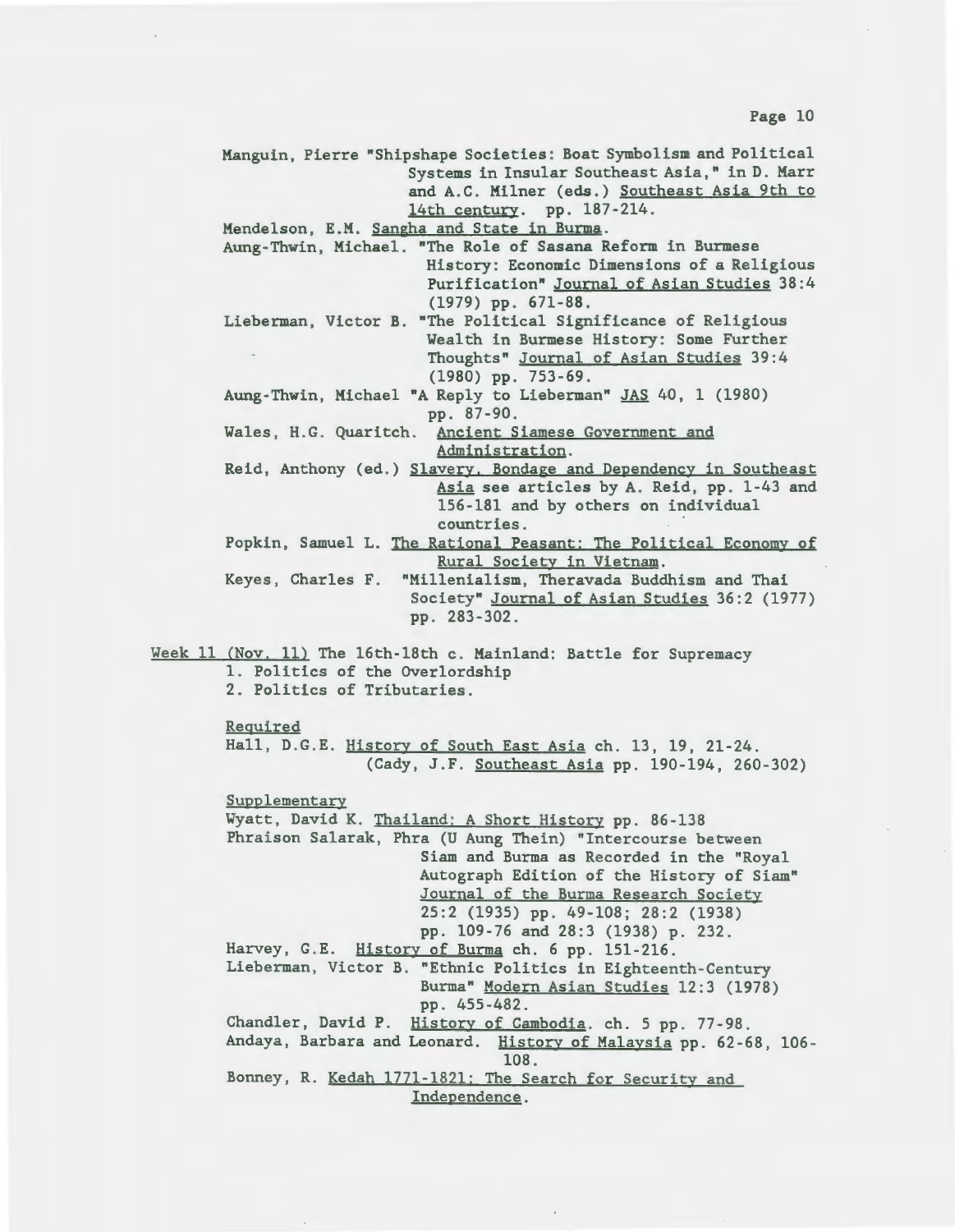Manguin, Pierre "Shipshape Societies: Boat Symbolism and Political Systems in Insular Southeast Asia," in D. Marr and A.C. Milner (eds.) Southeast Asia 9th to 14th century. pp. 187-214. Mendelson, E.M. Sangha and State in Burma . Aung-Thwin, Michael. "The Role of Sasana Reform in Burmese History: Economic Dimensions of a Religious Purification" Journal of Asian Studies 38 : 4 (1979) pp. 671-88 . Lieberman, Victor B. "The Political Significance of Religious Wealth in Burmese History: Some Further Thoughts" Journal of Asian Studies 39:4 (1980) pp. 753-69 . Aung-Thwin, Michael "A Reply to Lieberman" JAS 40, 1 (1980) pp. 87-90. Wales, H.G. Quaritch. Ancient Siamese Government and Administration. Reid, Anthony (ed.) Slavery. Bondage and Dependency in Southeast Asia see articles by A. Reid, pp. 1-43 and 156-181 and by others on individual countries. Popkin, Samuel L. The Rational Peasant: The Political Economy of Rural Society in Vietnam. Keyes , Charles F. "Millenialism, Theravada Buddhism and Thai Society" Journal of Asian Studies 36:2 (1977) pp . 283-302 . Week 11 (Nov. 11) The 16th-18th c. Mainland: Battle for Supremacy 1. Politics of the Overlordship 2. Politics of Tributaries. Required Hall, D.G.E. History of South East Asia ch. 13, 19, 21-24. (Cady, J.F. Southeast Asia pp. 190-194, 260-302) Supplementary Wyatt, David K. Thailand: A Short History pp. 86-138 Phraison Salarak, Phra (U Aung Thein) "Intercourse between Siam and Burma as Recorded in the "Royal Autograph Edition of the History of Siam" Journal of the Burma Research Society 25:2 (1935) pp . 49-108; 28:2 (1938) pp. 109-76 and 28:3 (1938) p. 232. Harvey, G.E. History of Burma ch. 6 pp. 151-216. Lieberman, Victor B. "Ethnic Politics in Eighteenth-Century Burma" Modern Asian Studies 12:3 (1978) pp. 455-482. Chandler, David P. History of Cambodia. ch. 5 pp. 77-98. Andaya, Barbara and Leonard. History of Malaysia pp. 62-68, 106- 108. Bonney, R. Kedah 1771-1821: The Search for Security and Independence.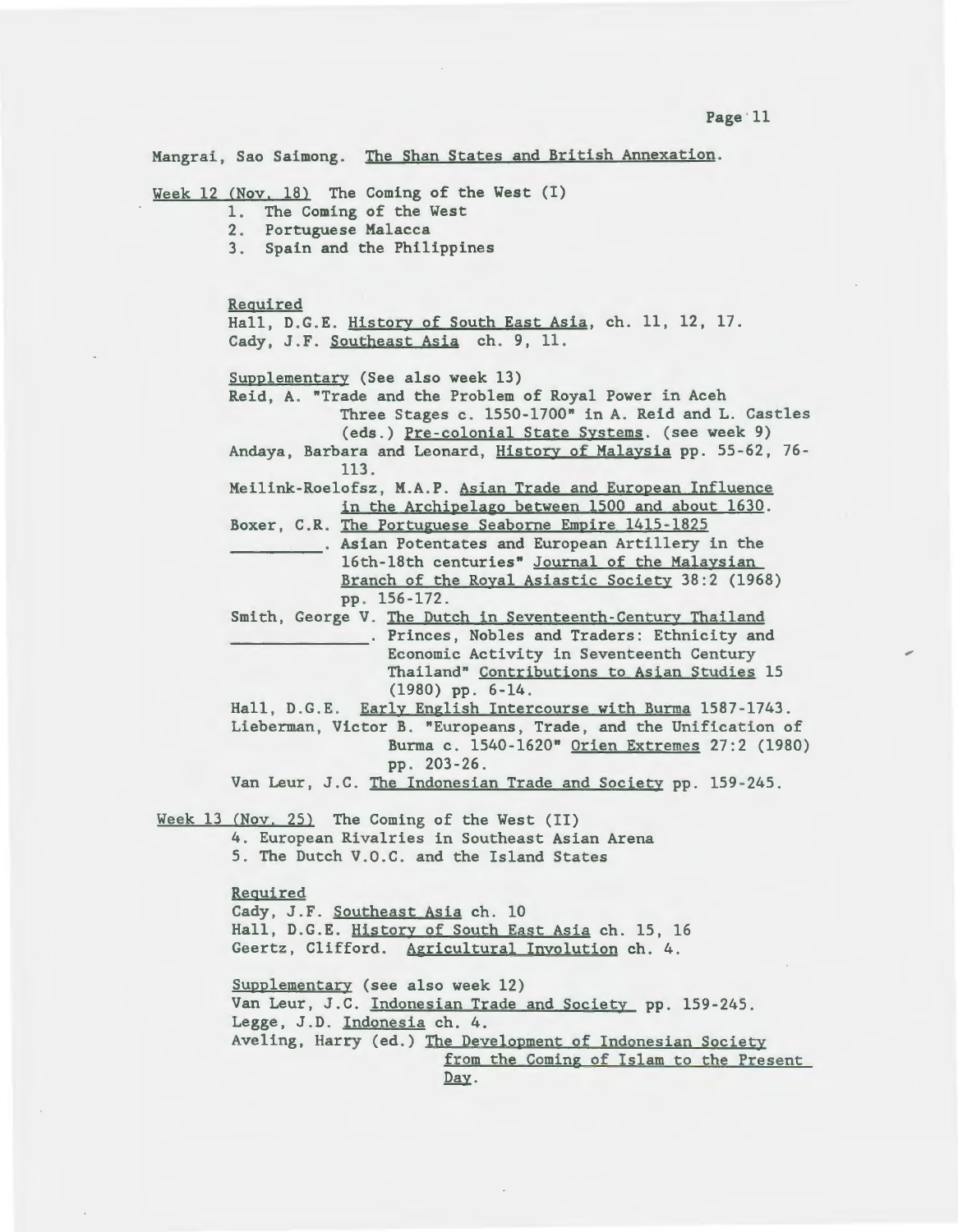Mangrai, Sao Saimong. The Shan States and British Annexation. Week  $12$  (Nov. 18) The Coming of the West  $(I)$ 1. The Coming of the West 2. Portuguese Malacca 3. Spain and the Philippines Required Hall, D.G.E. History of South East Asia, ch. 11, 12, 17. Cady, J.F. Southeast Asia ch. 9, 11. Supplementary (See also week 13) Reid, A. "Trade and the Problem of Royal Power in Aceh Three Stages c. 1550-1700" in A. Reid and L. Castles (eds.) Pre-colonial State Systems. (see week 9) Andaya, Barbara and Leonard, History of Malaysia pp. 55-62, 76-113. Meilink-Roelofsz, M.A.P. Asian Trade and European Influence in the Archipelago between 1500 and about 1630. Boxer, C.R. The Portuguese Seaborne Empire 1415-1825 Asian Potentates and European Artillery in the 16th- 18th centuries" Journal of the Malaysian Branch of the Royal Asiastic Society 38:2 (1968) pp . 156 -172. Smith, George V. The Dutch in Seventeenth-Century Thailand . Princes, Nobles and Traders: Ethnicity and Economic Activity in Seventeenth Century Thailand" Contributions to Asian Studies 15  $(1980)$  pp. 6-14. Hall, D.G.E. Early English Intercourse with Burma 1587-1743. Lieberman, Victor B. "Europeans, Trade, and the Unification of Burma c. 1540-1620" Orien Extremes 27:2 (1980) pp . 203 - 26 . Van Leur, J.C. The Indonesian Trade and Society pp. 159-245. Week  $13$  (Nov. 25) The Coming of the West (II) 4 . European Rivalries in Southeast Asian Arena 5 . The Dutch V.O.C. and the Island States Required Cady, J.F. Southeast Asia ch. 10 Hall, D.G.E. History of South East Asia ch. 15, 16 Geertz, Clifford. Agricultural Involution ch. 4. Supplementary (see also week 12) Van Leur, J.C. Indonesian Trade and Society pp. 159-245. Legge, J.D. Indonesia ch. 4. Aveling, Harry (ed.) The Development of Indonesian Society from the Coming of Islam to the Present Day.